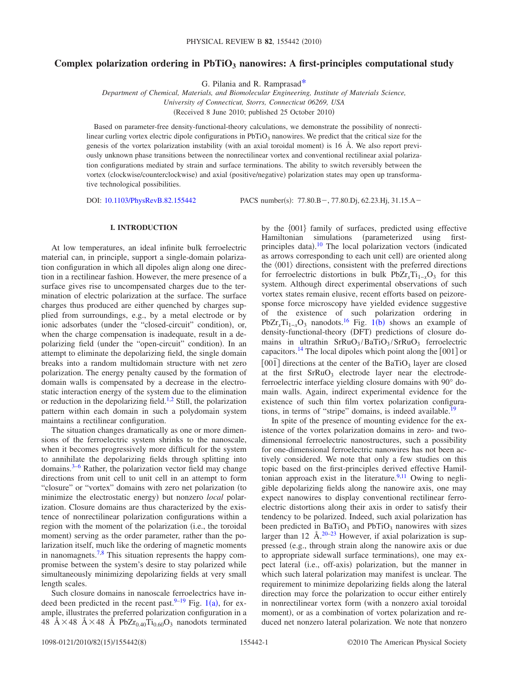# Complex polarization ordering in PbTiO<sub>3</sub> nanowires: A first-principles computational study

G. Pilania and R. Ramprasa[d\\*](#page-7-0)

*Department of Chemical, Materials, and Biomolecular Engineering, Institute of Materials Science, University of Connecticut, Storrs, Connecticut 06269, USA*

(Received 8 June 2010; published  $25$  October  $2010$ )

Based on parameter-free density-functional-theory calculations, we demonstrate the possibility of nonrectilinear curling vortex electric dipole configurations in  $PbTiO<sub>3</sub>$  nanowires. We predict that the critical size for the genesis of the vortex polarization instability (with an axial toroidal moment) is 16 Å. We also report previously unknown phase transitions between the nonrectilinear vortex and conventional rectilinear axial polarization configurations mediated by strain and surface terminations. The ability to switch reversibly between the vortex (clockwise/counterclockwise) and axial (positive/negative) polarization states may open up transformative technological possibilities.

DOI: [10.1103/PhysRevB.82.155442](http://dx.doi.org/10.1103/PhysRevB.82.155442)

PACS number(s): 77.80.B - , 77.80.Dj, 62.23.Hj, 31.15.A -

## **I. INTRODUCTION**

At low temperatures, an ideal infinite bulk ferroelectric material can, in principle, support a single-domain polarization configuration in which all dipoles align along one direction in a rectilinear fashion. However, the mere presence of a surface gives rise to uncompensated charges due to the termination of electric polarization at the surface. The surface charges thus produced are either quenched by charges supplied from surroundings, e.g., by a metal electrode or by ionic adsorbates (under the "closed-circuit" condition), or, when the charge compensation is inadequate, result in a depolarizing field (under the "open-circuit" condition). In an attempt to eliminate the depolarizing field, the single domain breaks into a random multidomain structure with net zero polarization. The energy penalty caused by the formation of domain walls is compensated by a decrease in the electrostatic interaction energy of the system due to the elimination or reduction in the depolarizing field.<sup>1,[2](#page-7-2)</sup> Still, the polarization pattern within each domain in such a polydomain system maintains a rectilinear configuration.

The situation changes dramatically as one or more dimensions of the ferroelectric system shrinks to the nanoscale, when it becomes progressively more difficult for the system to annihilate the depolarizing fields through splitting into domains. $3-6$  Rather, the polarization vector field may change directions from unit cell to unit cell in an attempt to form "closure" or "vortex" domains with zero net polarization (to minimize the electrostatic energy) but nonzero *local* polarization. Closure domains are thus characterized by the existence of nonrectilinear polarization configurations within a region with the moment of the polarization (i.e., the toroidal moment) serving as the order parameter, rather than the polarization itself, much like the ordering of magnetic moments in nanomagnets. $7.8$  This situation represents the happy compromise between the system's desire to stay polarized while simultaneously minimizing depolarizing fields at very small length scales.

Such closure domains in nanoscale ferroelectrics have indeed been predicted in the recent past.  $9-19$  $9-19$  Fig. [1](#page-1-0)(a), for example, illustrates the preferred polarization configuration in a 48 Å $\times$  48 Å $\times$  48 Å PbZr<sub>0.40</sub>Ti<sub>0.60</sub>O<sub>3</sub> nanodots terminated

by the  $\{001\}$  family of surfaces, predicted using effective Hamiltonian simulations (parameterized using first-principles data).<sup>[10](#page-7-9)</sup> The local polarization vectors (indicated as arrows corresponding to each unit cell) are oriented along the  $\langle 001 \rangle$  directions, consistent with the preferred directions for ferroelectric distortions in bulk  $PbZr<sub>x</sub>Ti<sub>1−x</sub>O<sub>3</sub>$  for this system. Although direct experimental observations of such vortex states remain elusive, recent efforts based on peizoresponse force microscopy have yielded evidence suggestive of the existence of such polarization ordering in PbZr<sub>*x*</sub>Ti<sub>[1](#page-1-0)−*x*</sub>O<sub>3</sub> nanodots.<sup>16</sup> Fig. 1(b) shows an example of density-functional-theory (DFT) predictions of closure domains in ultrathin  $SrRuO<sub>3</sub>/BaTiO<sub>3</sub>/SrRuO<sub>3</sub>$  ferroelectric capacitors.<sup>14</sup> The local dipoles which point along the  $[001]$  or  $\sqrt{1001}$  directions at the center of the BaTiO<sub>3</sub> layer are closed at the first  $SrRuO<sub>3</sub>$  electrode-layer near the electrodeferroelectric interface yielding closure domains with 90° domain walls. Again, indirect experimental evidence for the existence of such thin film vortex polarization configurations, in terms of "stripe" domains, is indeed available.<sup>19</sup>

In spite of the presence of mounting evidence for the existence of the vortex polarization domains in zero- and twodimensional ferroelectric nanostructures, such a possibility for one-dimensional ferroelectric nanowires has not been actively considered. We note that only a few studies on this topic based on the first-principles derived effective Hamiltonian approach exist in the literature. $9,11$  $9,11$  Owing to negligible depolarizing fields along the nanowire axis, one may expect nanowires to display conventional rectilinear ferroelectric distortions along their axis in order to satisfy their tendency to be polarized. Indeed, such axial polarization has been predicted in BaTiO<sub>3</sub> and PbTiO<sub>3</sub> nanowires with sizes larger than  $12 \text{ Å}$ .<sup>20[–23](#page-7-14)</sup> However, if axial polarization is suppressed (e.g., through strain along the nanowire axis or due to appropriate sidewall surface terminations), one may expect lateral (i.e., off-axis) polarization, but the manner in which such lateral polarization may manifest is unclear. The requirement to minimize depolarizing fields along the lateral direction may force the polarization to occur either entirely in nonrectilinear vortex form (with a nonzero axial toroidal moment), or as a combination of vortex polarization and reduced net nonzero lateral polarization. We note that nonzero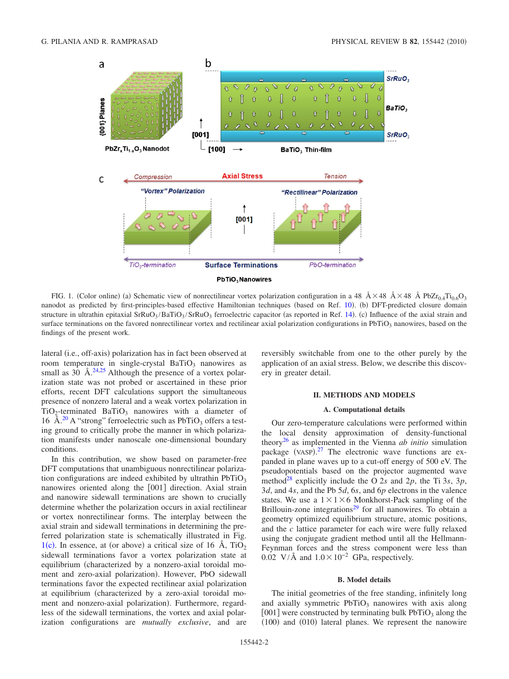<span id="page-1-0"></span>

FIG. 1. (Color online) (a) Schematic view of nonrectilinear vortex polarization configuration in a 48  $A \times 48$   $A \times 48$  A PbZr<sub>0.4</sub>Ti<sub>0.6</sub>O<sub>3</sub> nanodot as predicted by first-principles-based effective Hamiltonian techniques (based on Ref. [10](#page-7-9)). (b) DFT-predicted closure domain structure in ultrathin epitaxial  $SFRuO<sub>3</sub>/BaTiO<sub>3</sub>/SrRuO<sub>3</sub>$  ferroelectric capacitor (as reported in Ref. [14](#page-7-11)). (c) Influence of the axial strain and surface terminations on the favored nonrectilinear vortex and rectilinear axial polarization configurations in PbTiO<sub>3</sub> nanowires, based on the findings of the present work.

lateral (i.e., off-axis) polarization has in fact been observed at room temperature in single-crystal  $BaTiO<sub>3</sub>$  nanowires as small as  $30 \text{ Å}$ .  $24.25$  $24.25$  Although the presence of a vortex polarization state was not probed or ascertained in these prior efforts, recent DFT calculations support the simultaneous presence of nonzero lateral and a weak vortex polarization in  $TiO<sub>2</sub>$ -terminated BaTiO<sub>3</sub> nanowires with a diameter of 16 Å.<sup>20</sup> A "strong" ferroelectric such as PbTiO<sub>3</sub> offers a testing ground to critically probe the manner in which polarization manifests under nanoscale one-dimensional boundary conditions.

In this contribution, we show based on parameter-free DFT computations that unambiguous nonrectilinear polarization configurations are indeed exhibited by ultrathin  $PbTiO<sub>3</sub>$ nanowires oriented along the [001] direction. Axial strain and nanowire sidewall terminations are shown to crucially determine whether the polarization occurs in axial rectilinear or vortex nonrectilinear forms. The interplay between the axial strain and sidewall terminations in determining the preferred polarization state is schematically illustrated in Fig.  $1(c)$  $1(c)$ . In essence, at (or above) a critical size of 16 Å, TiO<sub>2</sub> sidewall terminations favor a vortex polarization state at equilibrium (characterized by a nonzero-axial toroidal moment and zero-axial polarization). However, PbO sidewall terminations favor the expected rectilinear axial polarization at equilibrium characterized by a zero-axial toroidal moment and nonzero-axial polarization). Furthermore, regardless of the sidewall terminations, the vortex and axial polarization configurations are *mutually exclusive*, and are

reversibly switchable from one to the other purely by the application of an axial stress. Below, we describe this discovery in greater detail.

## **II. METHODS AND MODELS**

## **A. Computational details**

Our zero-temperature calculations were performed within the local density approximation of density-functional theor[y26](#page-7-17) as implemented in the Vienna *ab initio* simulation package (VASP). $27$  The electronic wave functions are expanded in plane waves up to a cut-off energy of 500 eV. The pseudopotentials based on the projector augmented wave method<sup>28</sup> explicitly include the O 2*s* and 2*p*, the Ti 3*s*, 3*p*, 3*d*, and 4*s*, and the Pb 5*d*, 6*s*, and 6*p* electrons in the valence states. We use a  $1 \times 1 \times 6$  Monkhorst-Pack sampling of the Brillouin-zone integrations<sup>29</sup> for all nanowires. To obtain a geometry optimized equilibrium structure, atomic positions, and the *c* lattice parameter for each wire were fully relaxed using the conjugate gradient method until all the Hellmann-Feynman forces and the stress component were less than 0.02 V/Å and  $1.0 \times 10^{-2}$  GPa, respectively.

#### **B. Model details**

The initial geometries of the free standing, infinitely long and axially symmetric  $PbTiO<sub>3</sub>$  nanowires with axis along  $[001]$  were constructed by terminating bulk PbTiO<sub>3</sub> along the  $(100)$  and  $(010)$  lateral planes. We represent the nanowire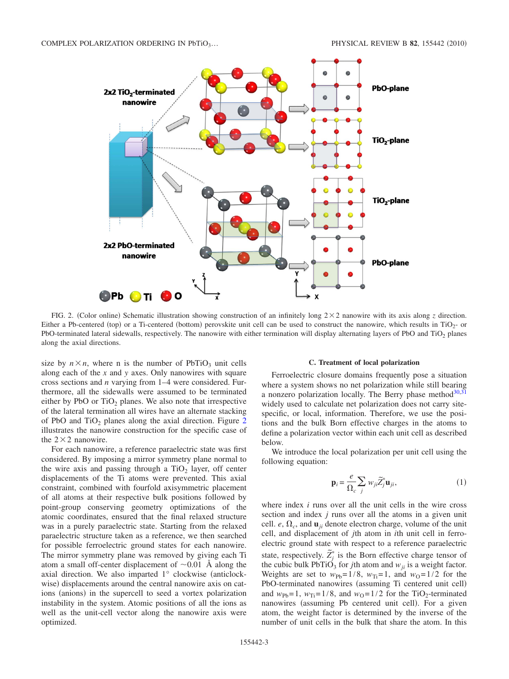<span id="page-2-0"></span>

FIG. 2. (Color online) Schematic illustration showing construction of an infinitely long  $2 \times 2$  nanowire with its axis along *z* direction. Either a Pb-centered (top) or a Ti-centered (bottom) perovskite unit cell can be used to construct the nanowire, which results in TiO<sub>2</sub>- or PbO-terminated lateral sidewalls, respectively. The nanowire with either termination will display alternating layers of PbO and TiO<sub>2</sub> planes along the axial directions.

size by  $n \times n$ , where n is the number of PbTiO<sub>3</sub> unit cells along each of the *x* and *y* axes. Only nanowires with square cross sections and *n* varying from 1–4 were considered. Furthermore, all the sidewalls were assumed to be terminated either by PbO or  $TiO<sub>2</sub>$  planes. We also note that irrespective of the lateral termination all wires have an alternate stacking of PbO and TiO<sub>[2](#page-2-0)</sub> planes along the axial direction. Figure  $2$ illustrates the nanowire construction for the specific case of the  $2 \times 2$  nanowire.

For each nanowire, a reference paraelectric state was first considered. By imposing a mirror symmetry plane normal to the wire axis and passing through a  $TiO<sub>2</sub>$  layer, off center displacements of the Ti atoms were prevented. This axial constraint, combined with fourfold axisymmetric placement of all atoms at their respective bulk positions followed by point-group conserving geometry optimizations of the atomic coordinates, ensured that the final relaxed structure was in a purely paraelectric state. Starting from the relaxed paraelectric structure taken as a reference, we then searched for possible ferroelectric ground states for each nanowire. The mirror symmetry plane was removed by giving each Ti atom a small off-center displacement of  $\sim 0.01$  Å along the axial direction. We also imparted  $1^\circ$  clockwise (anticlockwise) displacements around the central nanowire axis on cations (anions) in the supercell to seed a vortex polarization instability in the system. Atomic positions of all the ions as well as the unit-cell vector along the nanowire axis were optimized.

#### **C. Treatment of local polarization**

Ferroelectric closure domains frequently pose a situation where a system shows no net polarization while still bearing a nonzero polarization locally. The Berry phase method $30,31$  $30,31$ widely used to calculate net polarization does not carry sitespecific, or local, information. Therefore, we use the positions and the bulk Born effective charges in the atoms to define a polarization vector within each unit cell as described below.

We introduce the local polarization per unit cell using the following equation:

$$
\mathbf{p}_{i} = \frac{e}{\Omega_{c}} \sum_{j} w_{ji} \widetilde{Z}_{j}^{*} \mathbf{u}_{ji},
$$
 (1)

where index *i* runs over all the unit cells in the wire cross section and index *j* runs over all the atoms in a given unit cell.  $e$ ,  $\Omega_c$ , and  $\mathbf{u}_{ji}$  denote electron charge, volume of the unit cell, and displacement of *j*th atom in *i*th unit cell in ferroelectric ground state with respect to a reference paraelectric state, respectively.  $\tilde{Z}_j^*$  is the Born effective charge tensor of the cubic bulk PbTiO<sub>3</sub> for *j*th atom and  $w_{ii}$  is a weight factor. Weights are set to  $w_{\text{Pb}} = 1/8$ ,  $w_{\text{Ti}} = 1$ , and  $w_{\text{O}} = 1/2$  for the PbO-terminated nanowires (assuming Ti centered unit cell) and  $w_{\text{Pb}} = 1$ ,  $w_{\text{Ti}} = 1/8$ , and  $w_{\text{O}} = 1/2$  for the TiO<sub>2</sub>-terminated nanowires (assuming Pb centered unit cell). For a given atom, the weight factor is determined by the inverse of the number of unit cells in the bulk that share the atom. In this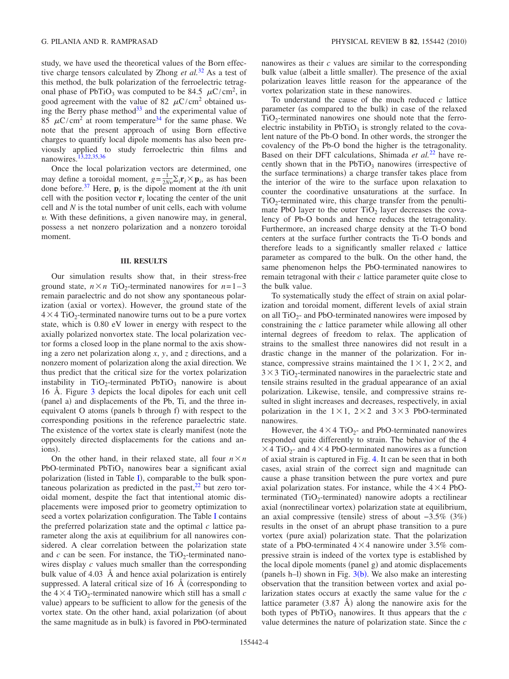study, we have used the theoretical values of the Born effective charge tensors calculated by Zhong *et al.*[32](#page-7-23) As a test of this method, the bulk polarization of the ferroelectric tetragonal phase of PbTiO<sub>3</sub> was computed to be 84.5  $\mu$ C/cm<sup>2</sup>, in good agreement with the value of 82  $\mu$ C/cm<sup>2</sup> obtained using the Berry phase method $33$  and the experimental value of 85  $\mu$ C/cm<sup>2</sup> at room temperature<sup>34</sup> for the same phase. We note that the present approach of using Born effective charges to quantify local dipole moments has also been previously applied to study ferroelectric thin films and nanowires[.13,](#page-7-26)[22](#page-7-27)[,35](#page-7-28)[,36](#page-7-29)

Once the local polarization vectors are determined, one may define a toroidal moment,  $g = \frac{1}{2Nv} \sum_i \mathbf{r}_i \times \mathbf{p}_i$ , as has been done before.<sup>37</sup> Here,  $\mathbf{p}_i$  is the dipole moment at the *i*th unit cell with the position vector  $\mathbf{r}_i$  locating the center of the unit cell and *N* is the total number of unit cells, each with volume  $\nu$ . With these definitions, a given nanowire may, in general, possess a net nonzero polarization and a nonzero toroidal moment.

## **III. RESULTS**

Our simulation results show that, in their stress-free ground state,  $n \times n$  TiO<sub>2</sub>-terminated nanowires for  $n=1-3$ remain paraelectric and do not show any spontaneous polarization (axial or vortex). However, the ground state of the  $4 \times 4$  TiO<sub>2</sub>-terminated nanowire turns out to be a pure vortex state, which is 0.80 eV lower in energy with respect to the axially polarized nonvortex state. The local polarization vector forms a closed loop in the plane normal to the axis showing a zero net polarization along *x*, *y*, and *z* directions, and a nonzero moment of polarization along the axial direction. We thus predict that the critical size for the vortex polarization instability in  $TiO<sub>2</sub>$ -terminated PbTiO<sub>3</sub> nanowire is about 16 Å. Figure [3](#page-4-0) depicts the local dipoles for each unit cell (panel a) and displacements of the Pb, Ti, and the three inequivalent O atoms (panels b through f) with respect to the corresponding positions in the reference paraelectric state. The existence of the vortex state is clearly manifest (note the oppositely directed displacements for the cations and anions).

On the other hand, in their relaxed state, all four  $n \times n$ PbO-terminated  $PbTiO<sub>3</sub>$  nanowires bear a significant axial polarization (listed in Table [I](#page-5-0)), comparable to the bulk spontaneous polarization as predicted in the past, $^{22}$  but zero toroidal moment, despite the fact that intentional atomic displacements were imposed prior to geometry optimization to seed a vortex polarization configuration. The Table [I](#page-5-0) contains the preferred polarization state and the optimal *c* lattice parameter along the axis at equilibrium for all nanowires considered. A clear correlation between the polarization state and  $c$  can be seen. For instance, the  $TiO<sub>2</sub>$ -terminated nanowires display *c* values much smaller than the corresponding bulk value of 4.03 Å and hence axial polarization is entirely suppressed. A lateral critical size of  $16\;$ Å (corresponding to the  $4 \times 4$  TiO<sub>2</sub>-terminated nanowire which still has a small *c* value) appears to be sufficient to allow for the genesis of the vortex state. On the other hand, axial polarization (of about the same magnitude as in bulk) is favored in PbO-terminated

nanowires as their *c* values are similar to the corresponding bulk value (albeit a little smaller). The presence of the axial polarization leaves little reason for the appearance of the vortex polarization state in these nanowires.

To understand the cause of the much reduced *c* lattice parameter (as compared to the bulk) in case of the relaxed  $TiO<sub>2</sub>$ -terminated nanowires one should note that the ferroelectric instability in  $PbTiO<sub>3</sub>$  is strongly related to the covalent nature of the Pb-O bond. In other words, the stronger the covalency of the Pb-O bond the higher is the tetragonality. Based on their DFT calculations, Shimada *et al.*[22](#page-7-27) have recently shown that in the  $PbTiO<sub>3</sub>$  nanowires (irrespective of the surface terminations) a charge transfer takes place from the interior of the wire to the surface upon relaxation to counter the coordinative unsaturations at the surface. In  $TiO<sub>2</sub>$ -terminated wire, this charge transfer from the penultimate PbO layer to the outer  $TiO<sub>2</sub>$  layer decreases the covalency of Pb-O bonds and hence reduces the tetragonality. Furthermore, an increased charge density at the Ti-O bond centers at the surface further contracts the Ti-O bonds and therefore leads to a significantly smaller relaxed *c* lattice parameter as compared to the bulk. On the other hand, the same phenomenon helps the PbO-terminated nanowires to remain tetragonal with their *c* lattice parameter quite close to the bulk value.

To systematically study the effect of strain on axial polarization and toroidal moment, different levels of axial strain on all  $TiO<sub>2</sub>$ - and PbO-terminated nanowires were imposed by constraining the *c* lattice parameter while allowing all other internal degrees of freedom to relax. The application of strains to the smallest three nanowires did not result in a drastic change in the manner of the polarization. For instance, compressive strains maintained the  $1 \times 1$ ,  $2 \times 2$ , and  $3 \times 3$  TiO<sub>2</sub>-terminated nanowires in the paraelectric state and tensile strains resulted in the gradual appearance of an axial polarization. Likewise, tensile, and compressive strains resulted in slight increases and decreases, respectively, in axial polarization in the  $1 \times 1$ ,  $2 \times 2$  and  $3 \times 3$  PbO-terminated nanowires.

However, the  $4 \times 4$  TiO<sub>2</sub>- and PbO-terminated nanowires responded quite differently to strain. The behavior of the 4  $\times$  4 TiO<sub>2</sub>- and 4  $\times$  4 PbO-terminated nanowires as a function of axial strain is captured in Fig. [4.](#page-5-1) It can be seen that in both cases, axial strain of the correct sign and magnitude can cause a phase transition between the pure vortex and pure axial polarization states. For instance, while the  $4 \times 4$  PbOterminated (TiO<sub>2</sub>-terminated) nanowire adopts a rectilinear axial (nonrectilinear vortex) polarization state at equilibrium, an axial compressive (tensile) stress of about  $-3.5\%$  (3%) results in the onset of an abrupt phase transition to a pure vortex (pure axial) polarization state. That the polarization state of a PbO-terminated  $4 \times 4$  nanowire under 3.5% compressive strain is indeed of the vortex type is established by the local dipole moments (panel g) and atomic displacements (panels h-l) shown in Fig.  $3(b)$  $3(b)$ . We also make an interesting observation that the transition between vortex and axial polarization states occurs at exactly the same value for the *c* lattice parameter  $(3.87 \text{ Å})$  along the nanowire axis for the both types of  $PbTiO_3$  nanowires. It thus appears that the  $c$ value determines the nature of polarization state. Since the *c*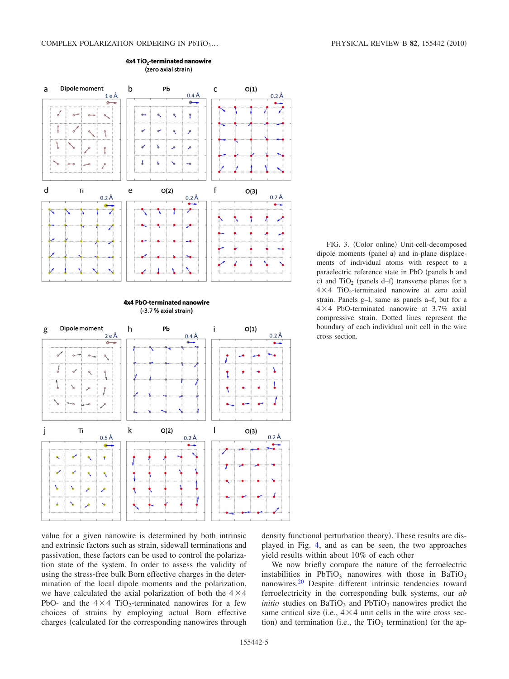<span id="page-4-0"></span>



FIG. 3. (Color online) Unit-cell-decomposed dipole moments (panel a) and in-plane displacements of individual atoms with respect to a paraelectric reference state in PbO (panels b and c) and  $TiO<sub>2</sub>$  (panels d–f) transverse planes for a  $4 \times 4$  TiO<sub>2</sub>-terminated nanowire at zero axial strain. Panels g–l, same as panels a–f, but for a  $4 \times 4$  PbO-terminated nanowire at 3.7% axial compressive strain. Dotted lines represent the boundary of each individual unit cell in the wire cross section.

value for a given nanowire is determined by both intrinsic and extrinsic factors such as strain, sidewall terminations and passivation, these factors can be used to control the polarization state of the system. In order to assess the validity of using the stress-free bulk Born effective charges in the determination of the local dipole moments and the polarization, we have calculated the axial polarization of both the  $4 \times 4$ PbO- and the  $4 \times 4$  TiO<sub>2</sub>-terminated nanowires for a few choices of strains by employing actual Born effective charges (calculated for the corresponding nanowires through

density functional perturbation theory). These results are displayed in Fig. [4,](#page-5-1) and as can be seen, the two approaches yield results within about 10% of each other

We now briefly compare the nature of the ferroelectric instabilities in PbTiO<sub>3</sub> nanowires with those in BaTiO<sub>3</sub> nanowires[.20](#page-7-13) Despite different intrinsic tendencies toward ferroelectricity in the corresponding bulk systems, our *ab initio* studies on BaTiO<sub>3</sub> and PbTiO<sub>3</sub> nanowires predict the same critical size (i.e.,  $4 \times 4$  unit cells in the wire cross section) and termination (i.e., the  $TiO<sub>2</sub>$  termination) for the ap-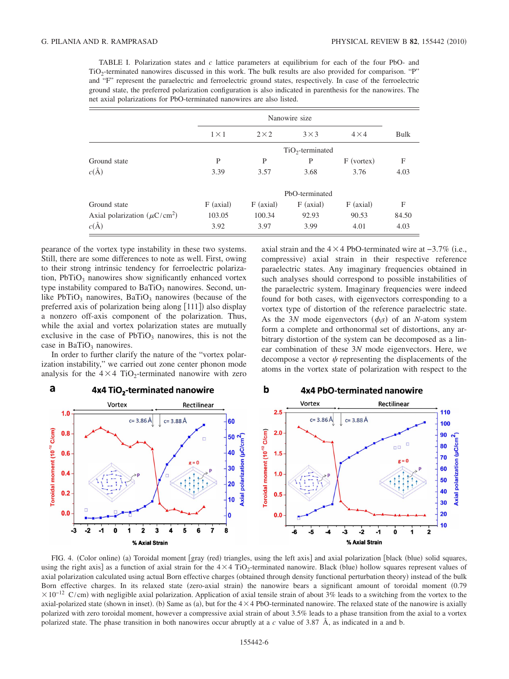<span id="page-5-0"></span>TABLE I. Polarization states and *c* lattice parameters at equilibrium for each of the four PbO- and TiO<sub>2</sub>-terminated nanowires discussed in this work. The bulk results are also provided for comparison. "P" and "F" represent the paraelectric and ferroelectric ground states, respectively. In case of the ferroelectric ground state, the preferred polarization configuration is also indicated in parenthesis for the nanowires. The net axial polarizations for PbO-terminated nanowires are also listed.

|                                                | Nanowire size      |             |              |              |       |
|------------------------------------------------|--------------------|-------------|--------------|--------------|-------|
|                                                | $1 \times 1$       | $2\times2$  | $3 \times 3$ | $4 \times 4$ | Bulk  |
|                                                | $TiO2$ -terminated |             |              |              |       |
| Ground state                                   | P                  | P           | P            | $F$ (vortex) | F     |
| $c(\AA)$                                       | 3.39               | 3.57        | 3.68         | 3.76         | 4.03  |
|                                                | PbO-terminated     |             |              |              |       |
| Ground state                                   | $F$ (axial)        | $F$ (axial) | $F$ (axial)  | $F$ (axial)  | F     |
| Axial polarization ( $\mu$ C/cm <sup>2</sup> ) | 103.05             | 100.34      | 92.93        | 90.53        | 84.50 |
| $c(\AA)$                                       | 3.92               | 3.97        | 3.99         | 4.01         | 4.03  |

pearance of the vortex type instability in these two systems. Still, there are some differences to note as well. First, owing to their strong intrinsic tendency for ferroelectric polarization,  $PbTiO<sub>3</sub>$  nanowires show significantly enhanced vortex type instability compared to  $BaTiO<sub>3</sub>$  nanowires. Second, unlike PbTiO<sub>3</sub> nanowires, BaTiO<sub>3</sub> nanowires (because of the preferred axis of polarization being along [111]) also display a nonzero off-axis component of the polarization. Thus, while the axial and vortex polarization states are mutually exclusive in the case of  $PbTiO<sub>3</sub>$  nanowires, this is not the case in BaTiO<sub>3</sub> nanowires.

In order to further clarify the nature of the "vortex polarization instability," we carried out zone center phonon mode analysis for the  $4 \times 4$  TiO<sub>2</sub>-terminated nanowire with zero

axial strain and the  $4 \times 4$  PbO-terminated wire at  $-3.7\%$  (i.e., compressive) axial strain in their respective reference paraelectric states. Any imaginary frequencies obtained in such analyses should correspond to possible instabilities of the paraelectric system. Imaginary frequencies were indeed found for both cases, with eigenvectors corresponding to a vortex type of distortion of the reference paraelectric state. As the 3*N* mode eigenvectors  $(\phi_i s)$  of an *N*-atom system form a complete and orthonormal set of distortions, any arbitrary distortion of the system can be decomposed as a linear combination of these 3*N* mode eigenvectors. Here, we decompose a vector  $\psi$  representing the displacements of the atoms in the vortex state of polarization with respect to the

<span id="page-5-1"></span>

FIG. 4. (Color online) (a) Toroidal moment [gray (red) triangles, using the left axis] and axial polarization [black (blue) solid squares, using the right axis] as a function of axial strain for the  $4 \times 4$  TiO<sub>2</sub>-terminated nanowire. Black (blue) hollow squares represent values of axial polarization calculated using actual Born effective charges (obtained through density functional perturbation theory) instead of the bulk Born effective charges. In its relaxed state (zero-axial strain) the nanowire bears a significant amount of toroidal moment (0.79  $\times$ 10<sup>-12</sup> C/cm) with negligible axial polarization. Application of axial tensile strain of about 3% leads to a switching from the vortex to the axial-polarized state (shown in inset). (b) Same as (a), but for the  $4 \times 4$  PbO-terminated nanowire. The relaxed state of the nanowire is axially polarized with zero toroidal moment, however a compressive axial strain of about 3.5% leads to a phase transition from the axial to a vortex polarized state. The phase transition in both nanowires occur abruptly at a *c* value of 3.87 Å, as indicated in a and b.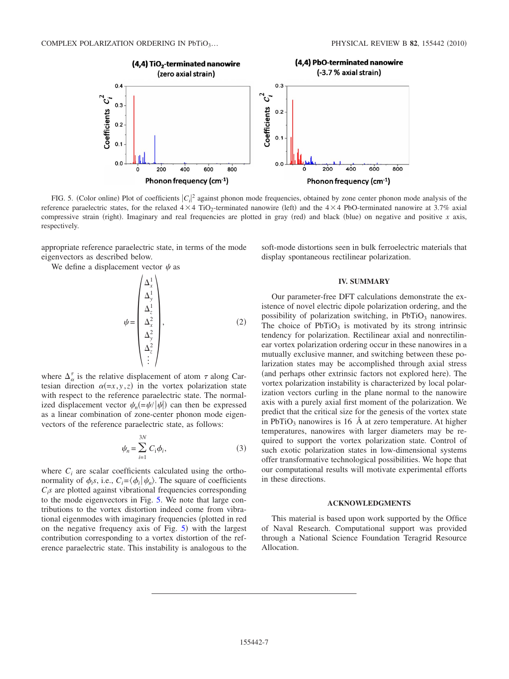<span id="page-6-0"></span>

FIG. 5. (Color online) Plot of coefficients  $|C_i|^2$  against phonon mode frequencies, obtained by zone center phonon mode analysis of the reference paraelectric states, for the relaxed  $4\times4$  TiO<sub>2</sub>-terminated nanowire (left) and the  $4\times4$  PbO-terminated nanowire at 3.7% axial compressive strain (right). Imaginary and real frequencies are plotted in gray (red) and black (blue) on negative and positive *x* axis, respectively.

appropriate reference paraelectric state, in terms of the mode eigenvectors as described below.

We define a displacement vector  $\psi$  as

$$
\psi = \begin{pmatrix} \Delta_x^1 \\ \Delta_y^1 \\ \Delta_z^2 \\ \Delta_x^2 \\ \Delta_y^2 \\ \Delta_z^2 \\ \vdots \end{pmatrix},
$$
 (2)

where  $\Delta_{\alpha}^{\tau}$  is the relative displacement of atom  $\tau$  along Cartesian direction  $\alpha(=x, y, z)$  in the vortex polarization state with respect to the reference paraelectric state. The normalized displacement vector  $\psi_n(=\psi/|\psi|)$  can then be expressed as a linear combination of zone-center phonon mode eigenvectors of the reference paraelectric state, as follows:

$$
\psi_n = \sum_{i=1}^{3N} C_i \phi_i,
$$
\n(3)

where  $C_i$  are scalar coefficients calculated using the orthonormality of  $\phi_i$ s, i.e.,  $C_i = \langle \phi_i | \psi_n \rangle$ . The square of coefficients  $C_i$ s are plotted against vibrational frequencies corresponding to the mode eigenvectors in Fig. [5.](#page-6-0) We note that large contributions to the vortex distortion indeed come from vibrational eigenmodes with imaginary frequencies (plotted in red on the negative frequency axis of Fig.  $5$ ) with the largest contribution corresponding to a vortex distortion of the reference paraelectric state. This instability is analogous to the

soft-mode distortions seen in bulk ferroelectric materials that display spontaneous rectilinear polarization.

## **IV. SUMMARY**

Our parameter-free DFT calculations demonstrate the existence of novel electric dipole polarization ordering, and the possibility of polarization switching, in  $PbTiO<sub>3</sub>$  nanowires. The choice of  $PbTiO<sub>3</sub>$  is motivated by its strong intrinsic tendency for polarization. Rectilinear axial and nonrectilinear vortex polarization ordering occur in these nanowires in a mutually exclusive manner, and switching between these polarization states may be accomplished through axial stress (and perhaps other extrinsic factors not explored here). The vortex polarization instability is characterized by local polarization vectors curling in the plane normal to the nanowire axis with a purely axial first moment of the polarization. We predict that the critical size for the genesis of the vortex state in PbTiO<sub>3</sub> nanowires is 16 Å at zero temperature. At higher temperatures, nanowires with larger diameters may be required to support the vortex polarization state. Control of such exotic polarization states in low-dimensional systems offer transformative technological possibilities. We hope that our computational results will motivate experimental efforts in these directions.

#### **ACKNOWLEDGMENTS**

This material is based upon work supported by the Office of Naval Research. Computational support was provided through a National Science Foundation Teragrid Resource Allocation.